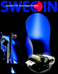## Swecoin TTP 5250 Kiosk Printers

M SHS

٥

٥